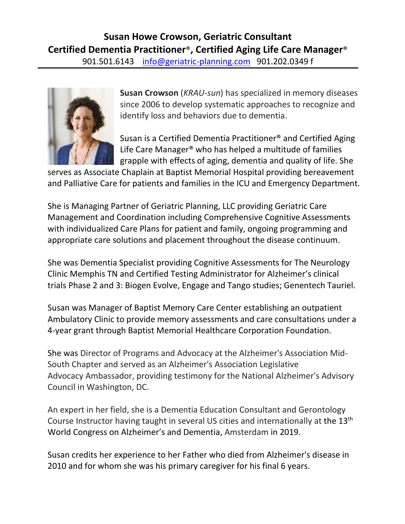

**Susan Crowson** (*KRAU-sun*) has specialized in memory diseases since 2006 to develop systematic approaches to recognize and identify loss and behaviors due to dementia.

Susan is a Certified Dementia Practitioner® and Certified Aging Life Care Manager® who has helped a multitude of families grapple with effects of aging, dementia and quality of life. She

serves as Associate Chaplain at Baptist Memorial Hospital providing bereavement and Palliative Care for patients and families in the ICU and Emergency Department.

She is Managing Partner of Geriatric Planning, LLC providing Geriatric Care Management and Coordination including Comprehensive Cognitive Assessments with individualized Care Plans for patient and family, ongoing programming and appropriate care solutions and placement throughout the disease continuum.

She was Dementia Specialist providing Cognitive Assessments for The Neurology Clinic Memphis TN and Certified Testing Administrator for Alzheimer's clinical trials Phase 2 and 3: Biogen Evolve, Engage and Tango studies; Genentech Tauriel.

Susan was Manager of Baptist Memory Care Center establishing an outpatient Ambulatory Clinic to provide memory assessments and care consultations under a 4-year grant through Baptist Memorial Healthcare Corporation Foundation.

She was Director of Programs and Advocacy at the Alzheimer's Association Mid-South Chapter and served as an Alzheimer's Association Legislative Advocacy Ambassador, providing testimony for the National Alzheimer's Advisory Council in Washington, DC.

An expert in her field, she is a Dementia Education Consultant and Gerontology Course Instructor having taught in several US cities and internationally at the 13<sup>th</sup> World Congress on Alzheimer's and Dementia, Amsterdam in 2019.

Susan credits her experience to her Father who died from Alzheimer's disease in 2010 and for whom she was his primary caregiver for his final 6 years.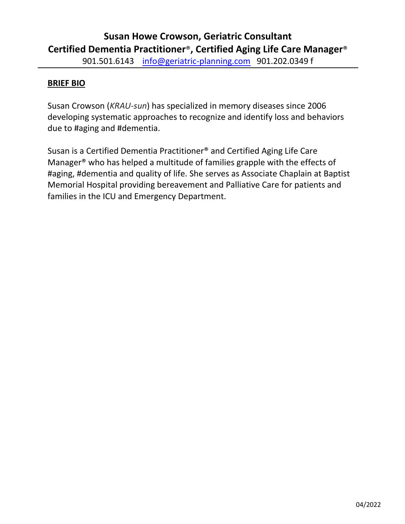## **BRIEF BIO**

Susan Crowson (*KRAU-sun*) has specialized in memory diseases since 2006 developing systematic approaches to recognize and identify loss and behaviors due to #aging and #dementia.

Susan is a Certified Dementia Practitioner® and Certified Aging Life Care Manager® who has helped a multitude of families grapple with the effects of #aging, #dementia and quality of life. She serves as Associate Chaplain at Baptist Memorial Hospital providing bereavement and Palliative Care for patients and families in the ICU and Emergency Department.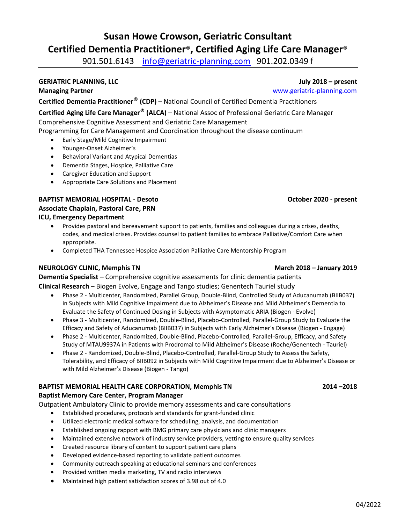## **Susan Howe Crowson, Geriatric Consultant Certified Dementia Practitioner**® **, Certified Aging Life Care Manager**®

901.501.6143 [info@geriatric-planning.com](mailto:info@geriatric-planning.com) 901.202.0349 f

## **GERIATRIC PLANNING, LLC July 2018 – present**

**Managing Partner** [www.geriatric-planning.com](http://www.geriatric-planning.com/)

**Certified Dementia Practitioner**® **(CDP)** – National Council of Certified Dementia Practitioners

**Certified Aging Life Care Manager**® **(ALCA)** – National Assoc of Professional Geriatric Care Manager Comprehensive Cognitive Assessment and Geriatric Care Management

Programming for Care Management and Coordination throughout the disease continuum

- Early Stage/Mild Cognitive Impairment
- Younger-Onset Alzheimer's
- Behavioral Variant and Atypical Dementias
- Dementia Stages, Hospice, Palliative Care
- Caregiver Education and Support
- Appropriate Care Solutions and Placement

## **BAPTIST MEMORIAL HOSPITAL - Desoto October 2020 - present Associate Chaplain, Pastoral Care, PRN ICU, Emergency Department**

- Provides pastoral and bereavement support to patients, families and colleagues during a crises, deaths, codes, and medical crises. Provides counsel to patient families to embrace Palliative/Comfort Care when appropriate.
- Completed THA Tennessee Hospice Association Palliative Care Mentorship Program

## **NEUROLOGY CLINIC, Memphis TN March 2018 – January 2019**

**Dementia Specialist –** Comprehensive cognitive assessments for clinic dementia patients **Clinical Research** – Biogen Evolve, Engage and Tango studies; Genentech Tauriel study

- Phase 2 Multicenter, Randomized, Parallel Group, Double-Blind, Controlled Study of Aducanumab (BIIB037) in Subjects with Mild Cognitive Impairment due to Alzheimer's Disease and Mild Alzheimer's Dementia to Evaluate the Safety of Continued Dosing in Subjects with Asymptomatic ARIA (Biogen - Evolve)
- Phase 3 Multicenter, Randomized, Double-Blind, Placebo-Controlled, Parallel-Group Study to Evaluate the Efficacy and Safety of Aducanumab (BIIB037) in Subjects with Early Alzheimer's Disease (Biogen - Engage)
- Phase 2 Multicenter, Randomized, Double-Blind, Placebo-Controlled, Parallel-Group, Efficacy, and Safety Study of MTAU9937A in Patients with Prodromal to Mild Alzheimer's Disease (Roche/Genentech - Tauriel)
- Phase 2 Randomized, Double-Blind, Placebo-Controlled, Parallel-Group Study to Assess the Safety, Tolerability, and Efficacy of BIIB092 in Subjects with Mild Cognitive Impairment due to Alzheimer's Disease or with Mild Alzheimer's Disease (Biogen - Tango)

## **BAPTIST MEMORIAL HEALTH CARE CORPORATION, Memphis TN 2014 –2018**

## **Baptist Memory Care Center, Program Manager**

Outpatient Ambulatory Clinic to provide memory assessments and care consultations

- Established procedures, protocols and standards for grant-funded clinic
- Utilized electronic medical software for scheduling, analysis, and documentation
- Established ongoing rapport with BMG primary care physicians and clinic managers
- Maintained extensive network of industry service providers, vetting to ensure quality services
- Created resource library of content to support patient care plans
- Developed evidence-based reporting to validate patient outcomes
- Community outreach speaking at educational seminars and conferences
- Provided written media marketing, TV and radio interviews
- Maintained high patient satisfaction scores of 3.98 out of 4.0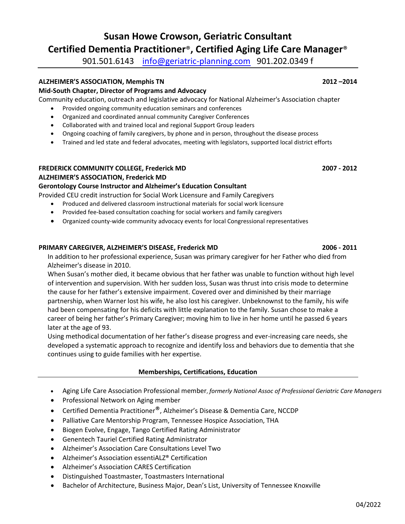## **Susan Howe Crowson, Geriatric Consultant Certified Dementia Practitioner**® **, Certified Aging Life Care Manager**®

901.501.6143 [info@geriatric-planning.com](mailto:info@geriatric-planning.com) 901.202.0349 f

## **ALZHEIMER'S ASSOCIATION, Memphis TN 2012 –2014**

## **Mid-South Chapter, Director of Programs and Advocacy**

Community education, outreach and legislative advocacy for National Alzheimer's Association chapter

- Provided ongoing community education seminars and conferences
- Organized and coordinated annual community Caregiver Conferences
- Collaborated with and trained local and regional Support Group leaders
- Ongoing coaching of family caregivers, by phone and in person, throughout the disease process
- Trained and led state and federal advocates, meeting with legislators, supported local district efforts

### **FREDERICK COMMUNITY COLLEGE, Frederick MD 2007 - 2012 ALZHEIMER'S ASSOCIATION, Frederick MD**

## **Gerontology Course Instructor and Alzheimer's Education Consultant**

Provided CEU credit instruction for Social Work Licensure and Family Caregivers

- Produced and delivered classroom instructional materials for social work licensure
- Provided fee-based consultation coaching for social workers and family caregivers
- Organized county-wide community advocacy events for local Congressional representatives

## **PRIMARY CAREGIVER, ALZHEIMER'S DISEASE, Frederick MD 2006 - 2011**

In addition to her professional experience, Susan was primary caregiver for her Father who died from Alzheimer's disease in 2010.

When Susan's mother died, it became obvious that her father was unable to function without high level of intervention and supervision. With her sudden loss, Susan was thrust into crisis mode to determine the cause for her father's extensive impairment. Covered over and diminished by their marriage partnership, when Warner lost his wife, he also lost his caregiver. Unbeknownst to the family, his wife had been compensating for his deficits with little explanation to the family. Susan chose to make a career of being her father's Primary Caregiver; moving him to live in her home until he passed 6 years later at the age of 93.

Using methodical documentation of her father's disease progress and ever-increasing care needs, she developed a systematic approach to recognize and identify loss and behaviors due to dementia that she continues using to guide families with her expertise.

## **Memberships, Certifications, Education**

- Aging Life Care Association Professional member, *formerly National Assoc of Professional Geriatric Care Managers*
- Professional Network on Aging member
- Certified Dementia Practitioner®, Alzheimer's Disease & Dementia Care, NCCDP
- Palliative Care Mentorship Program, Tennessee Hospice Association, THA
- Biogen Evolve, Engage, Tango Certified Rating Administrator
- Genentech Tauriel Certified Rating Administrator
- Alzheimer's Association Care Consultations Level Two
- Alzheimer's Association essentiALZ® Certification
- Alzheimer's Association CARES Certification
- Distinguished Toastmaster, Toastmasters International
- Bachelor of Architecture, Business Major, Dean's List, University of Tennessee Knoxville